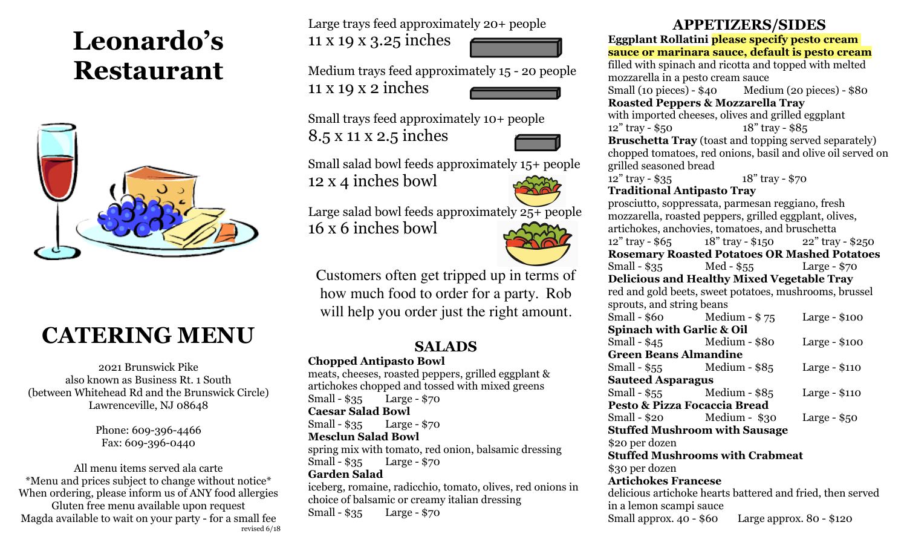# **Leonardo's Restaurant**



## **CATERING MENU**

2021 Brunswick Pike also known as Business Rt. 1 South (between Whitehead Rd and the Brunswick Circle) Lawrenceville, NJ 08648

> Phone: 609-396-4466 Fax: 609-396-0440

All menu items served ala carte \*Menu and prices subject to change without notice\* When ordering, please inform us of ANY food allergies Gluten free menu available upon request Magda available to wait on your party - for a small fee revised 6/18 Large trays feed approximately 20+ people

11 x 19 x 3.25 inches



Medium trays feed approximately 15 - 20 people 11 x 19 x 2 inches

Small trays feed approximately 10+ people 8.5 x 11 x 2.5 inches



Small salad bowl feeds approximately 15+ people 12 x 4 inches bowl

Large salad bowl feeds approximately 25+ people



Customers often get tripped up in terms of how much food to order for a party. Rob will help you order just the right amount.

## **SALADS**

**Chopped Antipasto Bowl**

16 x 6 inches bowl

meats, cheeses, roasted peppers, grilled eggplant & artichokes chopped and tossed with mixed greens Small - \$35 Large - \$70 **Caesar Salad Bowl** Small - \$35 Large - \$70 **Mesclun Salad Bowl** spring mix with tomato, red onion, balsamic dressing Small - \$35 Large - \$70 **Garden Salad** iceberg, romaine, radicchio, tomato, olives, red onions in choice of balsamic or creamy italian dressing Small - \$35 Large - \$70

## **APPETIZERS/SIDES**

**Eggplant Rollatini please specify pesto cream sauce or marinara sauce, default is pesto cream** filled with spinach and ricotta and topped with melted mozzarella in a pesto cream sauce Small (10 pieces) - \$40 Medium (20 pieces) - \$80 **Roasted Peppers & Mozzarella Tray** with imported cheeses, olives and grilled eggplant 12" tray - \$50 18" tray - \$85 **Bruschetta Tray** (toast and topping served separately) chopped tomatoes, red onions, basil and olive oil served on grilled seasoned bread 12" tray - \$35 18" tray - \$70 **Traditional Antipasto Tray** prosciutto, soppressata, parmesan reggiano, fresh mozzarella, roasted peppers, grilled eggplant, olives, artichokes, anchovies, tomatoes, and bruschetta 12" tray - \$65 18" tray - \$150 22" tray - \$250 **Rosemary Roasted Potatoes OR Mashed Potatoes** Small - \$35 Med - \$55 Large - \$70 **Delicious and Healthy Mixed Vegetable Tray** red and gold beets, sweet potatoes, mushrooms, brussel sprouts, and string beans Small - \$60 Medium - \$ 75 Large - \$100 **Spinach with Garlic & Oil** Small - \$45 Medium - \$80 Large - \$100 **Green Beans Almandine** Small - \$55 Medium - \$85 Large - \$110 **Sauteed Asparagus** Small - \$55 Medium - \$85 Large - \$110 **Pesto & Pizza Focaccia Bread** Small - \$20 Medium - \$30 Large - \$50 **Stuffed Mushroom with Sausage** \$20 per dozen **Stuffed Mushrooms with Crabmeat** \$30 per dozen **Artichokes Francese** delicious artichoke hearts battered and fried, then served in a lemon scampi sauce

Small approx. 40 - \$60 Large approx. 80 - \$120